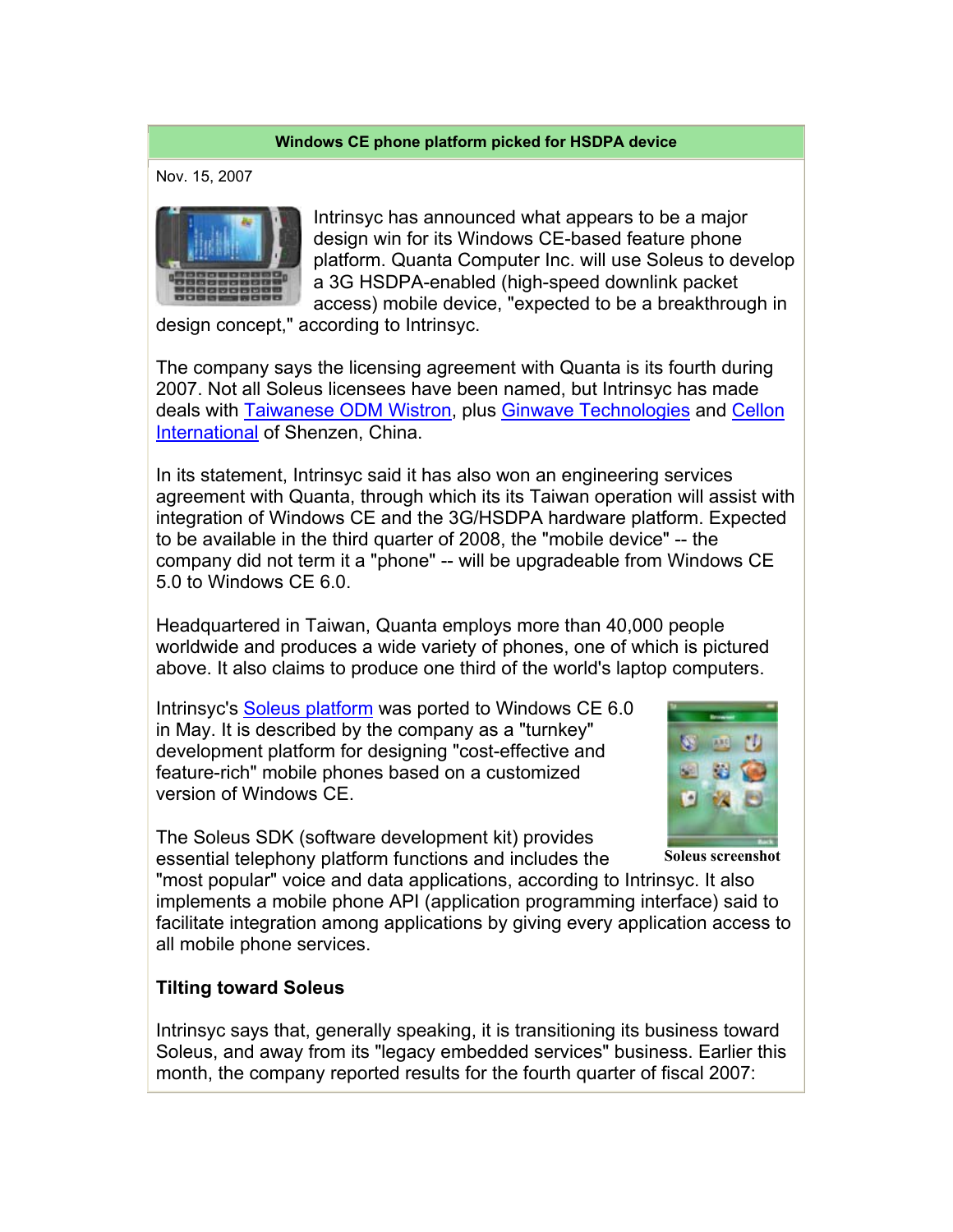## **Windows CE phone platform picked for HSDPA device**

Nov. 15, 2007



Intrinsyc has announced what appears to be a major design win for its Windows CE-based feature phone platform. Quanta Computer Inc. will use Soleus to develop a 3G HSDPA-enabled (high-speed downlink packet access) mobile device, "expected to be a breakthrough in

design concept," according to Intrinsyc.

The company says the licensing agreement with Quanta is its fourth during 2007. Not all Soleus licensees have been named, but Intrinsyc has made deals with Taiwanese ODM Wistron, plus Ginwave Technologies and Cellon International of Shenzen, China.

In its statement, Intrinsyc said it has also won an engineering services agreement with Quanta, through which its its Taiwan operation will assist with integration of Windows CE and the 3G/HSDPA hardware platform. Expected to be available in the third quarter of 2008, the "mobile device" -- the company did not term it a "phone" -- will be upgradeable from Windows CE 5.0 to Windows CE 6.0.

Headquartered in Taiwan, Quanta employs more than 40,000 people worldwide and produces a wide variety of phones, one of which is pictured above. It also claims to produce one third of the world's laptop computers.

Intrinsyc's Soleus platform was ported to Windows CE 6.0 in May. It is described by the company as a "turnkey" development platform for designing "cost-effective and feature-rich" mobile phones based on a customized version of Windows CE.



The Soleus SDK (software development kit) provides essential telephony platform functions and includes the

**Soleus screenshot**

"most popular" voice and data applications, according to Intrinsyc. It also implements a mobile phone API (application programming interface) said to facilitate integration among applications by giving every application access to all mobile phone services.

## **Tilting toward Soleus**

Intrinsyc says that, generally speaking, it is transitioning its business toward Soleus, and away from its "legacy embedded services" business. Earlier this month, the company reported results for the fourth quarter of fiscal 2007: